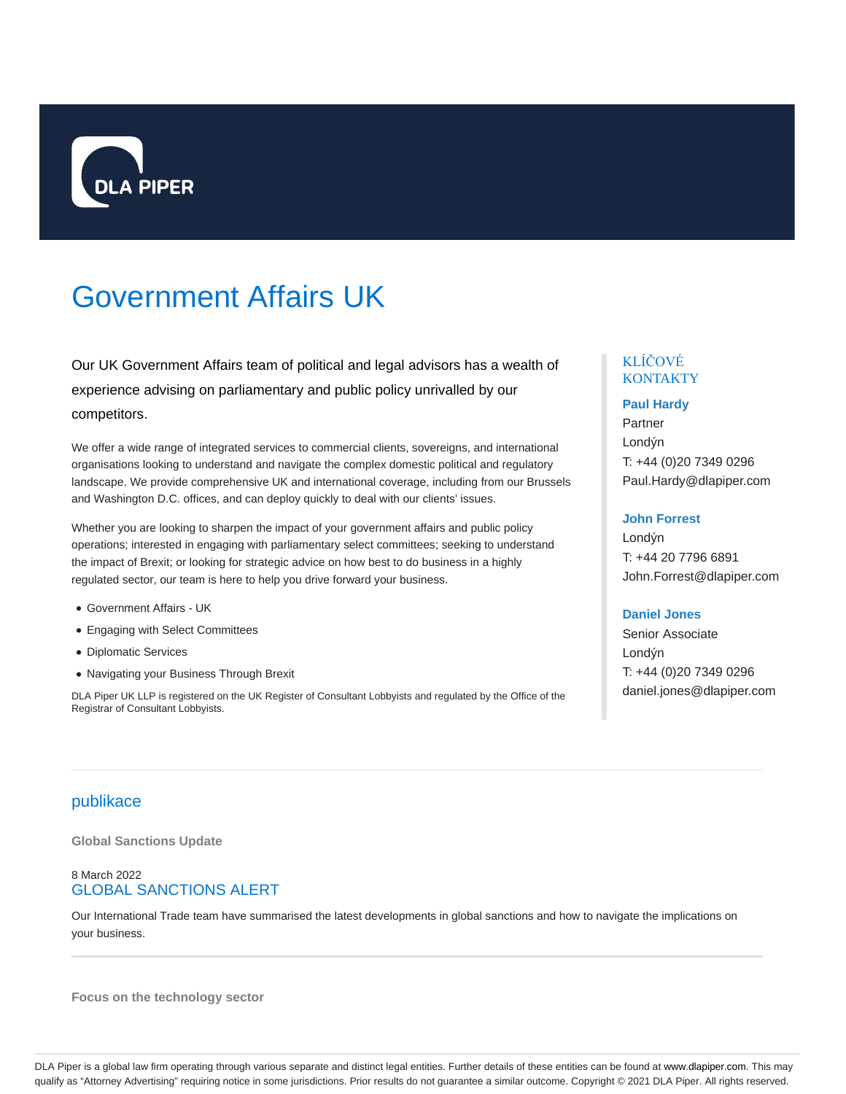

# Government Affairs UK

Our UK Government Affairs team of political and legal advisors has a wealth of experience advising on parliamentary and public policy unrivalled by our competitors.

We offer a wide range of integrated services to commercial clients, sovereigns, and international organisations looking to understand and navigate the complex domestic political and regulatory landscape. We provide comprehensive UK and international coverage, including from our Brussels and Washington D.C. offices, and can deploy quickly to deal with our clients' issues.

Whether you are looking to sharpen the impact of your government affairs and public policy operations; interested in engaging with parliamentary select committees; seeking to understand the impact of Brexit; or looking for strategic advice on how best to do business in a highly regulated sector, our team is here to help you drive forward your business.

- Government Affairs UK
- Engaging with Select Committees
- Diplomatic Services
- Navigating your Business Through Brexit

DLA Piper UK LLP is registered on the UK Register of Consultant Lobbyists and regulated by the Office of the Registrar of Consultant Lobbyists.

# KLÍČOVÉ **KONTAKTY**

#### **Paul Hardy**

Partner Londýn T: +44 (0)20 7349 0296 Paul.Hardy@dlapiper.com

#### **John Forrest**

Londýn T: +44 20 7796 6891 John.Forrest@dlapiper.com

#### **Daniel Jones**

Senior Associate Londýn T: +44 (0)20 7349 0296 daniel.jones@dlapiper.com

# publikace

**Global Sanctions Update**

#### 8 March 2022 GLOBAL SANCTIONS ALERT

Our International Trade team have summarised the latest developments in global sanctions and how to navigate the implications on your business.

**Focus on the technology sector**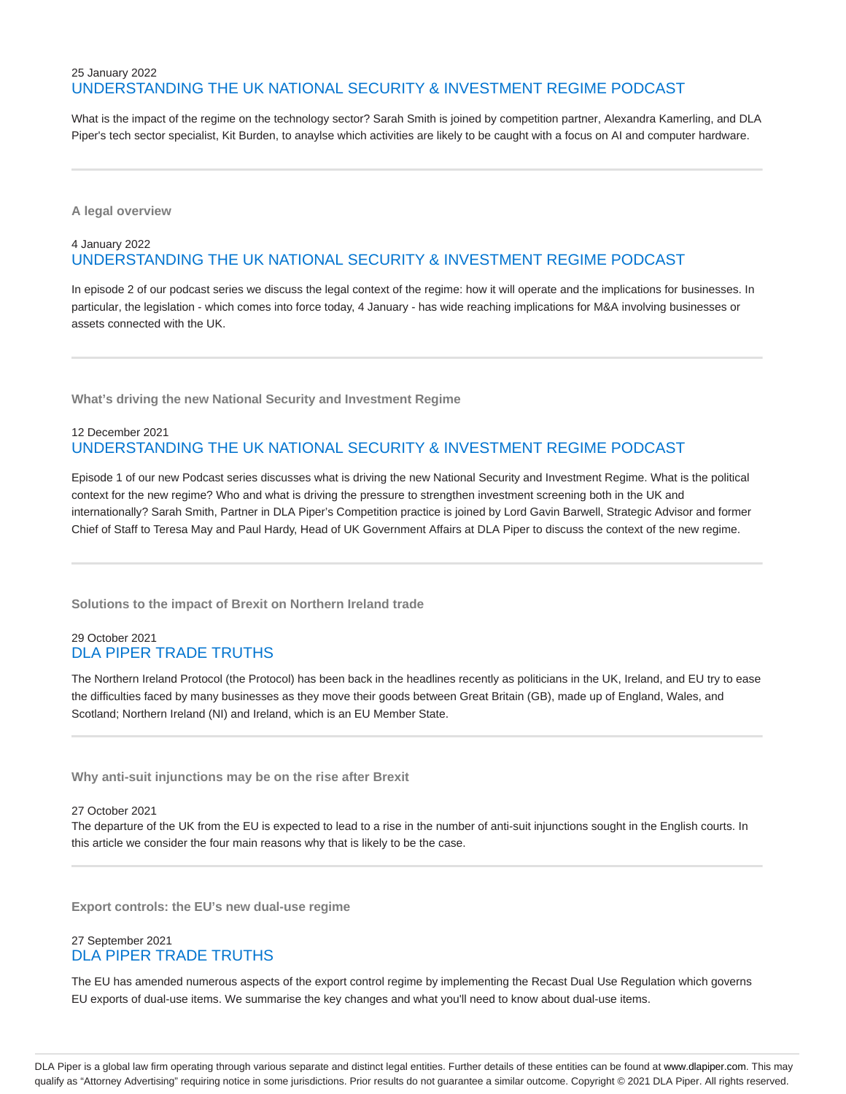# 25 January 2022 UNDERSTANDING THE UK NATIONAL SECURITY & INVESTMENT REGIME PODCAST

What is the impact of the regime on the technology sector? Sarah Smith is joined by competition partner, Alexandra Kamerling, and DLA Piper's tech sector specialist, Kit Burden, to anaylse which activities are likely to be caught with a focus on AI and computer hardware.

**A legal overview**

# 4 January 2022 UNDERSTANDING THE UK NATIONAL SECURITY & INVESTMENT REGIME PODCAST

In episode 2 of our podcast series we discuss the legal context of the regime: how it will operate and the implications for businesses. In particular, the legislation - which comes into force today, 4 January - has wide reaching implications for M&A involving businesses or assets connected with the UK.

**What's driving the new National Security and Investment Regime**

# 12 December 2021 UNDERSTANDING THE UK NATIONAL SECURITY & INVESTMENT REGIME PODCAST

Episode 1 of our new Podcast series discusses what is driving the new National Security and Investment Regime. What is the political context for the new regime? Who and what is driving the pressure to strengthen investment screening both in the UK and internationally? Sarah Smith, Partner in DLA Piper's Competition practice is joined by Lord Gavin Barwell, Strategic Advisor and former Chief of Staff to Teresa May and Paul Hardy, Head of UK Government Affairs at DLA Piper to discuss the context of the new regime.

**Solutions to the impact of Brexit on Northern Ireland trade**

# 29 October 2021 DLA PIPER TRADE TRUTHS

The Northern Ireland Protocol (the Protocol) has been back in the headlines recently as politicians in the UK, Ireland, and EU try to ease the difficulties faced by many businesses as they move their goods between Great Britain (GB), made up of England, Wales, and Scotland; Northern Ireland (NI) and Ireland, which is an EU Member State.

**Why anti-suit injunctions may be on the rise after Brexit**

27 October 2021

The departure of the UK from the EU is expected to lead to a rise in the number of anti-suit injunctions sought in the English courts. In this article we consider the four main reasons why that is likely to be the case.

**Export controls: the EU's new dual-use regime**

# 27 September 2021 DLA PIPER TRADE TRUTHS

The EU has amended numerous aspects of the export control regime by implementing the Recast Dual Use Regulation which governs EU exports of dual-use items. We summarise the key changes and what you'll need to know about dual-use items.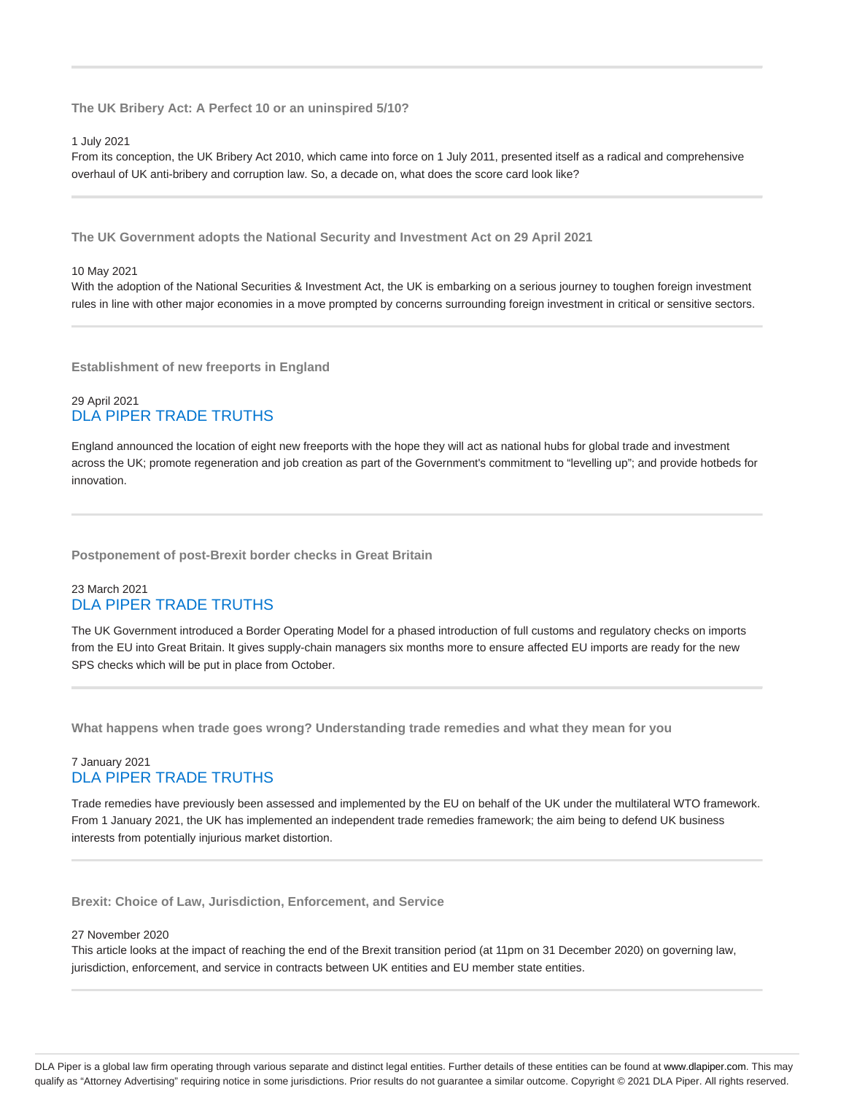**The UK Bribery Act: A Perfect 10 or an uninspired 5/10?**

#### 1 July 2021

From its conception, the UK Bribery Act 2010, which came into force on 1 July 2011, presented itself as a radical and comprehensive overhaul of UK anti-bribery and corruption law. So, a decade on, what does the score card look like?

**The UK Government adopts the National Security and Investment Act on 29 April 2021**

#### 10 May 2021

With the adoption of the National Securities & Investment Act, the UK is embarking on a serious journey to toughen foreign investment rules in line with other major economies in a move prompted by concerns surrounding foreign investment in critical or sensitive sectors.

**Establishment of new freeports in England**

#### 29 April 2021 DLA PIPER TRADE TRUTHS

England announced the location of eight new freeports with the hope they will act as national hubs for global trade and investment across the UK; promote regeneration and job creation as part of the Government's commitment to "levelling up"; and provide hotbeds for innovation.

**Postponement of post-Brexit border checks in Great Britain**

#### 23 March 2021 DLA PIPER TRADE TRUTHS

The UK Government introduced a Border Operating Model for a phased introduction of full customs and regulatory checks on imports from the EU into Great Britain. It gives supply-chain managers six months more to ensure affected EU imports are ready for the new SPS checks which will be put in place from October.

**What happens when trade goes wrong? Understanding trade remedies and what they mean for you**

# 7 January 2021 DLA PIPER TRADE TRUTHS

Trade remedies have previously been assessed and implemented by the EU on behalf of the UK under the multilateral WTO framework. From 1 January 2021, the UK has implemented an independent trade remedies framework; the aim being to defend UK business interests from potentially injurious market distortion.

**Brexit: Choice of Law, Jurisdiction, Enforcement, and Service**

#### 27 November 2020

This article looks at the impact of reaching the end of the Brexit transition period (at 11pm on 31 December 2020) on governing law, jurisdiction, enforcement, and service in contracts between UK entities and EU member state entities.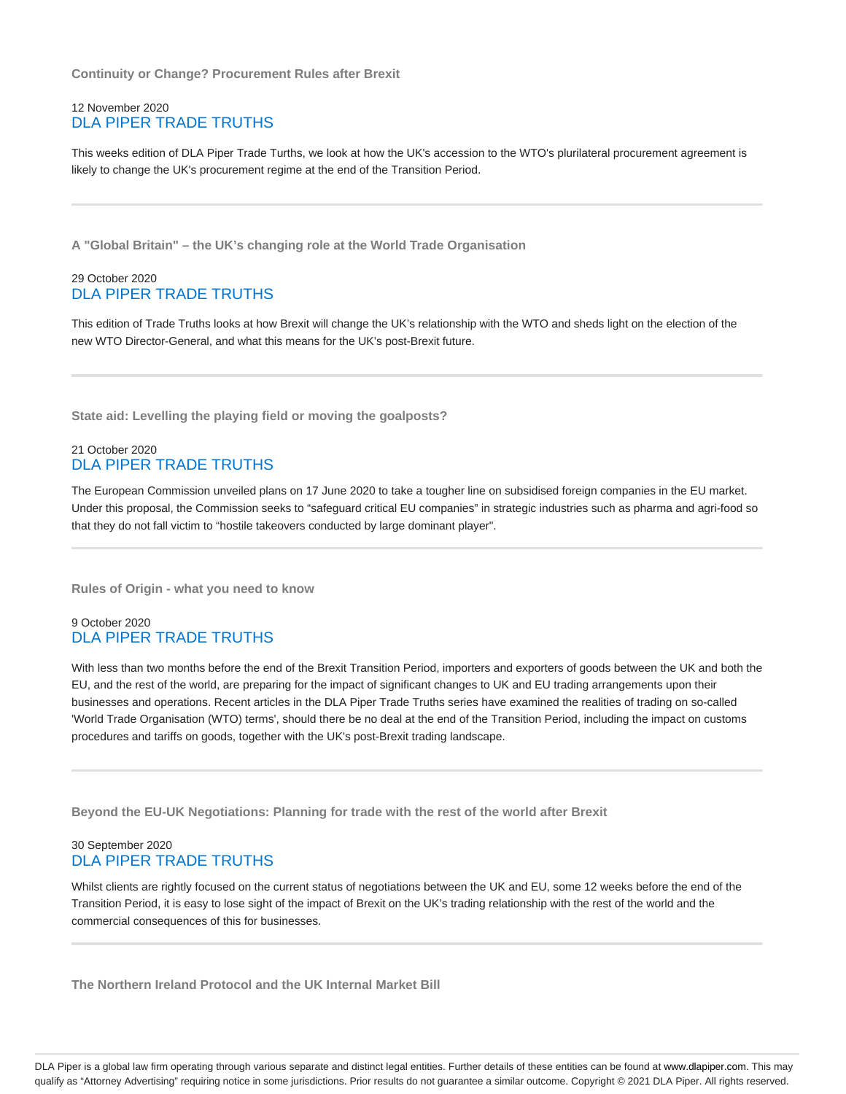**Continuity or Change? Procurement Rules after Brexit**

#### 12 November 2020 DLA PIPER TRADE TRUTHS

This weeks edition of DLA Piper Trade Turths, we look at how the UK's accession to the WTO's plurilateral procurement agreement is likely to change the UK's procurement regime at the end of the Transition Period.

**A "Global Britain" – the UK's changing role at the World Trade Organisation**

#### 29 October 2020 DLA PIPER TRADE TRUTHS

This edition of Trade Truths looks at how Brexit will change the UK's relationship with the WTO and sheds light on the election of the new WTO Director-General, and what this means for the UK's post-Brexit future.

**State aid: Levelling the playing field or moving the goalposts?**

#### 21 October 2020 DLA PIPER TRADE TRUTHS

The European Commission unveiled plans on 17 June 2020 to take a tougher line on subsidised foreign companies in the EU market. Under this proposal, the Commission seeks to "safeguard critical EU companies" in strategic industries such as pharma and agri-food so that they do not fall victim to "hostile takeovers conducted by large dominant player".

**Rules of Origin - what you need to know**

# 9 October 2020 DLA PIPER TRADE TRUTHS

With less than two months before the end of the Brexit Transition Period, importers and exporters of goods between the UK and both the EU, and the rest of the world, are preparing for the impact of significant changes to UK and EU trading arrangements upon their businesses and operations. Recent articles in the DLA Piper Trade Truths series have examined the realities of trading on so-called 'World Trade Organisation (WTO) terms', should there be no deal at the end of the Transition Period, including the impact on customs procedures and tariffs on goods, together with the UK's post-Brexit trading landscape.

**Beyond the EU-UK Negotiations: Planning for trade with the rest of the world after Brexit**

# 30 September 2020 DLA PIPER TRADE TRUTHS

Whilst clients are rightly focused on the current status of negotiations between the UK and EU, some 12 weeks before the end of the Transition Period, it is easy to lose sight of the impact of Brexit on the UK's trading relationship with the rest of the world and the commercial consequences of this for businesses.

**The Northern Ireland Protocol and the UK Internal Market Bill**